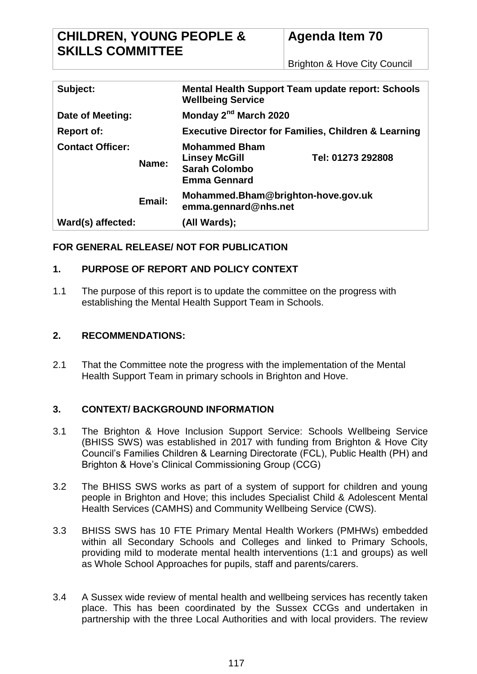Brighton & Hove City Council

| Subject:                |        | <b>Mental Health Support Team update report: Schools</b><br><b>Wellbeing Service</b>        |                   |  |
|-------------------------|--------|---------------------------------------------------------------------------------------------|-------------------|--|
| Date of Meeting:        |        | Monday 2 <sup>nd</sup> March 2020                                                           |                   |  |
| <b>Report of:</b>       |        | <b>Executive Director for Families, Children &amp; Learning</b>                             |                   |  |
| <b>Contact Officer:</b> | Name:  | <b>Mohammed Bham</b><br><b>Linsey McGill</b><br><b>Sarah Colombo</b><br><b>Emma Gennard</b> | Tel: 01273 292808 |  |
|                         | Email: | Mohammed.Bham@brighton-hove.gov.uk<br>emma.gennard@nhs.net                                  |                   |  |
| Ward(s) affected:       |        | (All Wards);                                                                                |                   |  |

## **FOR GENERAL RELEASE/ NOT FOR PUBLICATION**

## **1. PURPOSE OF REPORT AND POLICY CONTEXT**

1.1 The purpose of this report is to update the committee on the progress with establishing the Mental Health Support Team in Schools.

## **2. RECOMMENDATIONS:**

2.1 That the Committee note the progress with the implementation of the Mental Health Support Team in primary schools in Brighton and Hove.

## **3. CONTEXT/ BACKGROUND INFORMATION**

- 3.1 The Brighton & Hove Inclusion Support Service: Schools Wellbeing Service (BHISS SWS) was established in 2017 with funding from Brighton & Hove City Council's Families Children & Learning Directorate (FCL), Public Health (PH) and Brighton & Hove's Clinical Commissioning Group (CCG)
- 3.2 The BHISS SWS works as part of a system of support for children and young people in Brighton and Hove; this includes Specialist Child & Adolescent Mental Health Services (CAMHS) and Community Wellbeing Service (CWS).
- 3.3 BHISS SWS has 10 FTE Primary Mental Health Workers (PMHWs) embedded within all Secondary Schools and Colleges and linked to Primary Schools, providing mild to moderate mental health interventions (1:1 and groups) as well as Whole School Approaches for pupils, staff and parents/carers.
- 3.4 A Sussex wide review of mental health and wellbeing services has recently taken place. This has been coordinated by the Sussex CCGs and undertaken in partnership with the three Local Authorities and with local providers. The review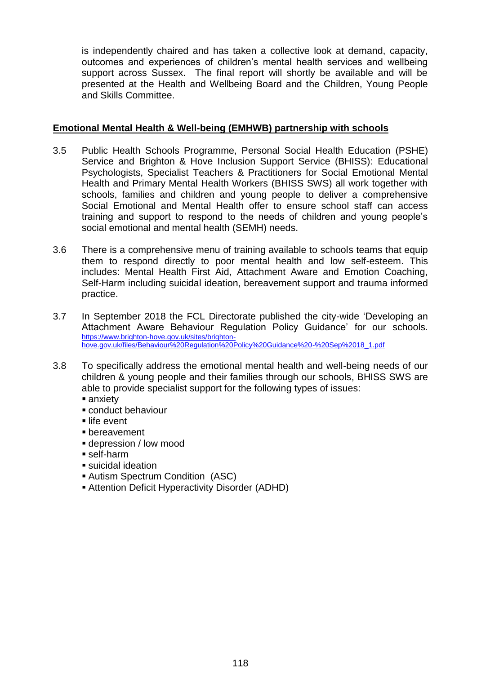is independently chaired and has taken a collective look at demand, capacity, outcomes and experiences of children's mental health services and wellbeing support across Sussex. The final report will shortly be available and will be presented at the Health and Wellbeing Board and the Children, Young People and Skills Committee.

#### **Emotional Mental Health & Well-being (EMHWB) partnership with schools**

- 3.5 Public Health Schools Programme, Personal Social Health Education (PSHE) Service and Brighton & Hove Inclusion Support Service (BHISS): Educational Psychologists, Specialist Teachers & Practitioners for Social Emotional Mental Health and Primary Mental Health Workers (BHISS SWS) all work together with schools, families and children and young people to deliver a comprehensive Social Emotional and Mental Health offer to ensure school staff can access training and support to respond to the needs of children and young people's social emotional and mental health (SEMH) needs.
- 3.6 There is a comprehensive menu of training available to schools teams that equip them to respond directly to poor mental health and low self-esteem. This includes: Mental Health First Aid, Attachment Aware and Emotion Coaching, Self-Harm including suicidal ideation, bereavement support and trauma informed practice.
- 3.7 In September 2018 the FCL Directorate published the city-wide 'Developing an Attachment Aware Behaviour Regulation Policy Guidance' for our schools. [https://www.brighton-hove.gov.uk/sites/brighton](https://www.brighton-hove.gov.uk/sites/brighton-hove.gov.uk/files/Behaviour%20Regulation%20Policy%20Guidance%20-%20Sep%2018_1.pdf)[hove.gov.uk/files/Behaviour%20Regulation%20Policy%20Guidance%20-%20Sep%2018\\_1.pdf](https://www.brighton-hove.gov.uk/sites/brighton-hove.gov.uk/files/Behaviour%20Regulation%20Policy%20Guidance%20-%20Sep%2018_1.pdf)
- 3.8 To specifically address the emotional mental health and well-being needs of our children & young people and their families through our schools, BHISS SWS are able to provide specialist support for the following types of issues:
	- anxiety
	- conduct behaviour
	- life event
	- bereavement
	- depression / low mood
	- self-harm
	- suicidal ideation
	- Autism Spectrum Condition (ASC)
	- Attention Deficit Hyperactivity Disorder (ADHD)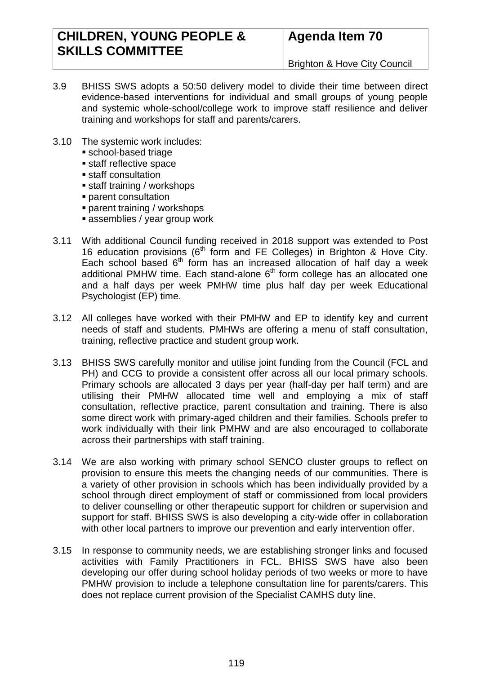## **CHILDREN, YOUNG PEOPLE & SKILLS COMMITTEE**

# **Agenda Item 70**

Brighton & Hove City Council

- 3.9 BHISS SWS adopts a 50:50 delivery model to divide their time between direct evidence-based interventions for individual and small groups of young people and systemic whole-school/college work to improve staff resilience and deliver training and workshops for staff and parents/carers.
- 3.10 The systemic work includes:
	- school-based triage
	- **staff reflective space**
	- **staff consultation**
	- staff training / workshops
	- parent consultation
	- parent training / workshops
	- **assemblies / year group work**
- 3.11 With additional Council funding received in 2018 support was extended to Post 16 education provisions ( $6<sup>th</sup>$  form and FE Colleges) in Brighton & Hove City. Each school based 6<sup>th</sup> form has an increased allocation of half day a week additional PMHW time. Each stand-alone  $6<sup>th</sup>$  form college has an allocated one and a half days per week PMHW time plus half day per week Educational Psychologist (EP) time.
- 3.12 All colleges have worked with their PMHW and EP to identify key and current needs of staff and students. PMHWs are offering a menu of staff consultation, training, reflective practice and student group work.
- 3.13 BHISS SWS carefully monitor and utilise joint funding from the Council (FCL and PH) and CCG to provide a consistent offer across all our local primary schools. Primary schools are allocated 3 days per year (half-day per half term) and are utilising their PMHW allocated time well and employing a mix of staff consultation, reflective practice, parent consultation and training. There is also some direct work with primary-aged children and their families. Schools prefer to work individually with their link PMHW and are also encouraged to collaborate across their partnerships with staff training.
- 3.14 We are also working with primary school SENCO cluster groups to reflect on provision to ensure this meets the changing needs of our communities. There is a variety of other provision in schools which has been individually provided by a school through direct employment of staff or commissioned from local providers to deliver counselling or other therapeutic support for children or supervision and support for staff. BHISS SWS is also developing a city-wide offer in collaboration with other local partners to improve our prevention and early intervention offer.
- 3.15 In response to community needs, we are establishing stronger links and focused activities with Family Practitioners in FCL. BHISS SWS have also been developing our offer during school holiday periods of two weeks or more to have PMHW provision to include a telephone consultation line for parents/carers. This does not replace current provision of the Specialist CAMHS duty line.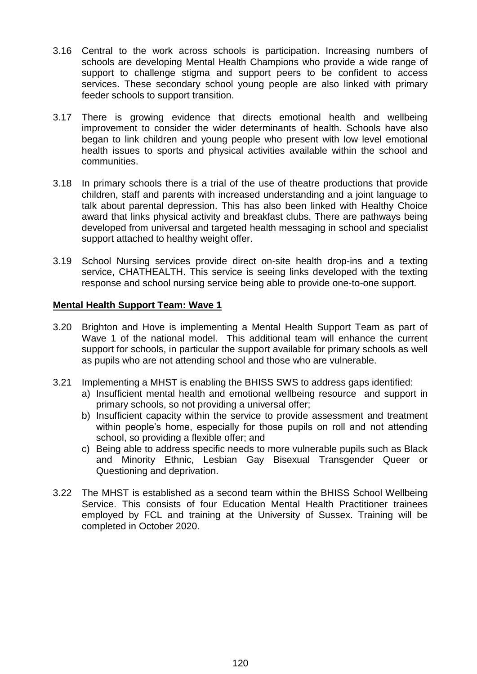- 3.16 Central to the work across schools is participation. Increasing numbers of schools are developing Mental Health Champions who provide a wide range of support to challenge stigma and support peers to be confident to access services. These secondary school young people are also linked with primary feeder schools to support transition.
- 3.17 There is growing evidence that directs emotional health and wellbeing improvement to consider the wider determinants of health. Schools have also began to link children and young people who present with low level emotional health issues to sports and physical activities available within the school and communities.
- 3.18 In primary schools there is a trial of the use of theatre productions that provide children, staff and parents with increased understanding and a joint language to talk about parental depression. This has also been linked with Healthy Choice award that links physical activity and breakfast clubs. There are pathways being developed from universal and targeted health messaging in school and specialist support attached to healthy weight offer.
- 3.19 School Nursing services provide direct on-site health drop-ins and a texting service, CHATHEALTH. This service is seeing links developed with the texting response and school nursing service being able to provide one-to-one support.

#### **Mental Health Support Team: Wave 1**

- 3.20 Brighton and Hove is implementing a Mental Health Support Team as part of Wave 1 of the national model. This additional team will enhance the current support for schools, in particular the support available for primary schools as well as pupils who are not attending school and those who are vulnerable.
- 3.21 Implementing a MHST is enabling the BHISS SWS to address gaps identified:
	- a) Insufficient mental health and emotional wellbeing resource and support in primary schools, so not providing a universal offer;
	- b) Insufficient capacity within the service to provide assessment and treatment within people's home, especially for those pupils on roll and not attending school, so providing a flexible offer; and
	- c) Being able to address specific needs to more vulnerable pupils such as Black and Minority Ethnic, Lesbian Gay Bisexual Transgender Queer or Questioning and deprivation.
- 3.22 The MHST is established as a second team within the BHISS School Wellbeing Service. This consists of four Education Mental Health Practitioner trainees employed by FCL and training at the University of Sussex. Training will be completed in October 2020.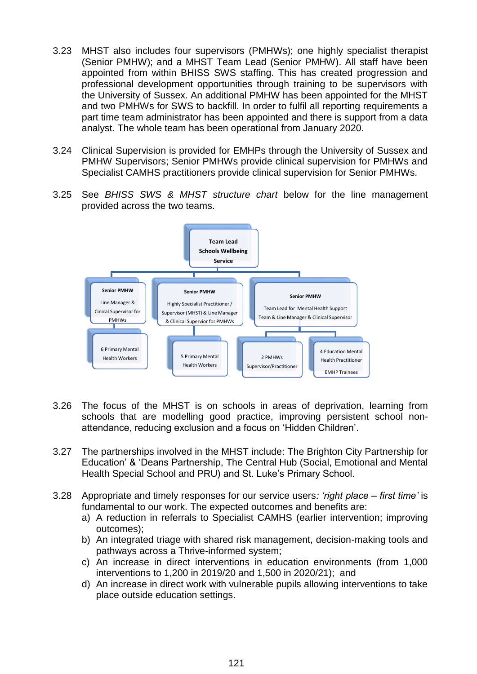- 3.23 MHST also includes four supervisors (PMHWs); one highly specialist therapist (Senior PMHW); and a MHST Team Lead (Senior PMHW). All staff have been appointed from within BHISS SWS staffing. This has created progression and professional development opportunities through training to be supervisors with the University of Sussex. An additional PMHW has been appointed for the MHST and two PMHWs for SWS to backfill. In order to fulfil all reporting requirements a part time team administrator has been appointed and there is support from a data analyst. The whole team has been operational from January 2020.
- 3.24 Clinical Supervision is provided for EMHPs through the University of Sussex and PMHW Supervisors; Senior PMHWs provide clinical supervision for PMHWs and Specialist CAMHS practitioners provide clinical supervision for Senior PMHWs.
- 3.25 See *BHISS SWS & MHST structure chart* below for the line management provided across the two teams.



- 3.26 The focus of the MHST is on schools in areas of deprivation, learning from schools that are modelling good practice, improving persistent school nonattendance, reducing exclusion and a focus on 'Hidden Children'.
- 3.27 The partnerships involved in the MHST include: The Brighton City Partnership for Education' & 'Deans Partnership, The Central Hub (Social, Emotional and Mental Health Special School and PRU) and St. Luke's Primary School.
- 3.28 Appropriate and timely responses for our service users*: 'right place – first time'* is fundamental to our work. The expected outcomes and benefits are:
	- a) A reduction in referrals to Specialist CAMHS (earlier intervention; improving outcomes);
	- b) An integrated triage with shared risk management, decision-making tools and pathways across a Thrive-informed system;
	- c) An increase in direct interventions in education environments (from 1,000 interventions to 1,200 in 2019/20 and 1,500 in 2020/21); and
	- d) An increase in direct work with vulnerable pupils allowing interventions to take place outside education settings.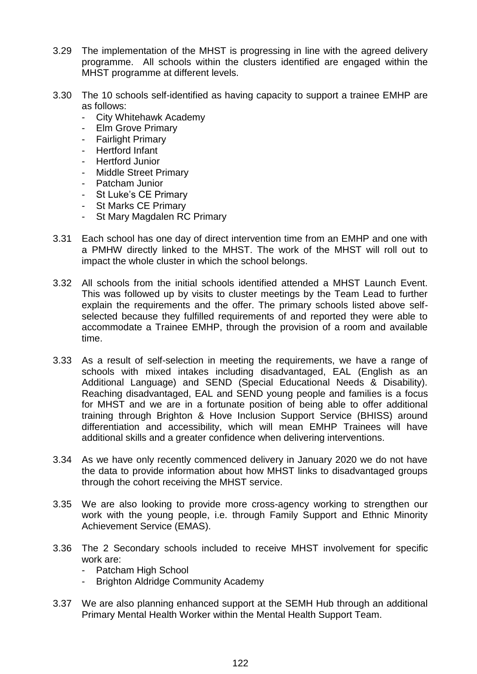- 3.29 The implementation of the MHST is progressing in line with the agreed delivery programme. All schools within the clusters identified are engaged within the MHST programme at different levels.
- 3.30 The 10 schools self-identified as having capacity to support a trainee EMHP are as follows:
	- City Whitehawk Academy
	- **Elm Grove Primary**
	- **Fairlight Primary**
	- Hertford Infant
	- Hertford Junior
	- Middle Street Primary
	- Patcham Junior
	- St Luke's CE Primary
	- St Marks CE Primary
	- St Mary Magdalen RC Primary
- 3.31 Each school has one day of direct intervention time from an EMHP and one with a PMHW directly linked to the MHST. The work of the MHST will roll out to impact the whole cluster in which the school belongs.
- 3.32 All schools from the initial schools identified attended a MHST Launch Event. This was followed up by visits to cluster meetings by the Team Lead to further explain the requirements and the offer. The primary schools listed above selfselected because they fulfilled requirements of and reported they were able to accommodate a Trainee EMHP, through the provision of a room and available time.
- 3.33 As a result of self-selection in meeting the requirements, we have a range of schools with mixed intakes including disadvantaged, EAL (English as an Additional Language) and SEND (Special Educational Needs & Disability). Reaching disadvantaged, EAL and SEND young people and families is a focus for MHST and we are in a fortunate position of being able to offer additional training through Brighton & Hove Inclusion Support Service (BHISS) around differentiation and accessibility, which will mean EMHP Trainees will have additional skills and a greater confidence when delivering interventions.
- 3.34 As we have only recently commenced delivery in January 2020 we do not have the data to provide information about how MHST links to disadvantaged groups through the cohort receiving the MHST service.
- 3.35 We are also looking to provide more cross-agency working to strengthen our work with the young people, i.e. through Family Support and Ethnic Minority Achievement Service (EMAS).
- 3.36 The 2 Secondary schools included to receive MHST involvement for specific work are:
	- Patcham High School
	- Brighton Aldridge Community Academy
- 3.37 We are also planning enhanced support at the SEMH Hub through an additional Primary Mental Health Worker within the Mental Health Support Team.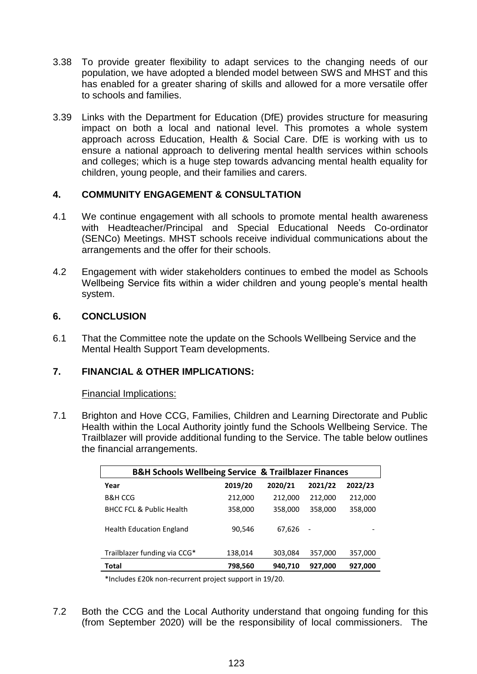- 3.38 To provide greater flexibility to adapt services to the changing needs of our population, we have adopted a blended model between SWS and MHST and this has enabled for a greater sharing of skills and allowed for a more versatile offer to schools and families.
- 3.39 Links with the Department for Education (DfE) provides structure for measuring impact on both a local and national level. This promotes a whole system approach across Education, Health & Social Care. DfE is working with us to ensure a national approach to delivering mental health services within schools and colleges; which is a huge step towards advancing mental health equality for children, young people, and their families and carers.

## **4. COMMUNITY ENGAGEMENT & CONSULTATION**

- 4.1 We continue engagement with all schools to promote mental health awareness with Headteacher/Principal and Special Educational Needs Co-ordinator (SENCo) Meetings. MHST schools receive individual communications about the arrangements and the offer for their schools.
- 4.2 Engagement with wider stakeholders continues to embed the model as Schools Wellbeing Service fits within a wider children and young people's mental health system.

#### **6. CONCLUSION**

6.1 That the Committee note the update on the Schools Wellbeing Service and the Mental Health Support Team developments.

## **7. FINANCIAL & OTHER IMPLICATIONS:**

#### Financial Implications:

7.1 Brighton and Hove CCG, Families, Children and Learning Directorate and Public Health within the Local Authority jointly fund the Schools Wellbeing Service. The Trailblazer will provide additional funding to the Service. The table below outlines the financial arrangements.

| <b>B&amp;H Schools Wellbeing Service &amp; Trailblazer Finances</b> |         |         |                          |         |  |  |
|---------------------------------------------------------------------|---------|---------|--------------------------|---------|--|--|
| Year                                                                | 2019/20 | 2020/21 | 2021/22                  | 2022/23 |  |  |
| <b>B&amp;H CCG</b>                                                  | 212,000 | 212,000 | 212,000                  | 212,000 |  |  |
| <b>BHCC FCL &amp; Public Health</b>                                 | 358,000 | 358,000 | 358,000                  | 358,000 |  |  |
| <b>Health Education England</b>                                     | 90,546  | 67,626  | $\overline{\phantom{a}}$ |         |  |  |
| Trailblazer funding via CCG*                                        | 138,014 | 303,084 | 357,000                  | 357,000 |  |  |
| Total                                                               | 798,560 | 940,710 | 927,000                  | 927,000 |  |  |

\*Includes £20k non-recurrent project support in 19/20.

7.2 Both the CCG and the Local Authority understand that ongoing funding for this (from September 2020) will be the responsibility of local commissioners. The